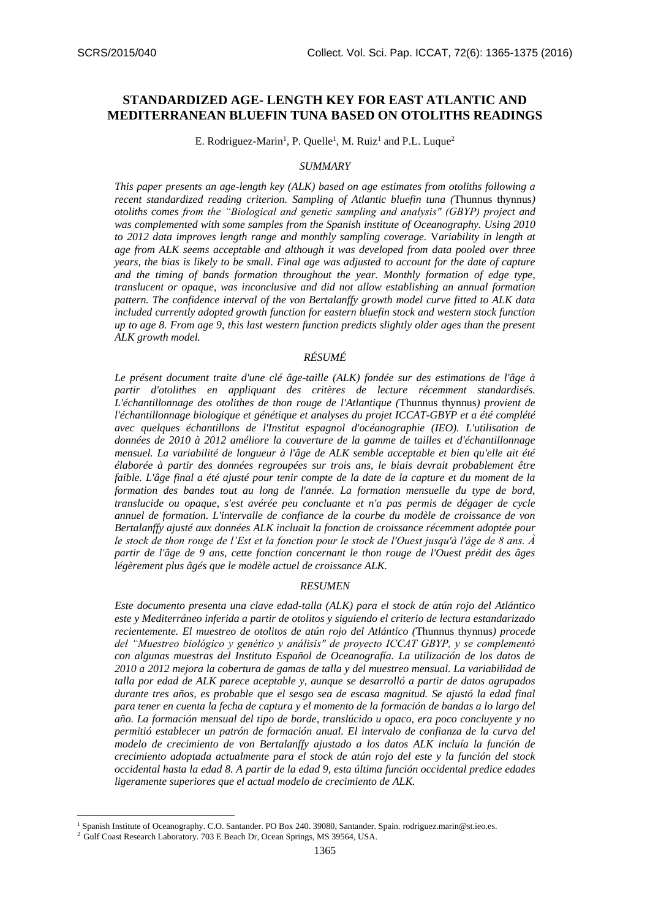# **STANDARDIZED AGE- LENGTH KEY FOR EAST ATLANTIC AND MEDITERRANEAN BLUEFIN TUNA BASED ON OTOLITHS READINGS**

E. Rodriguez-Marin<sup>1</sup>, P. Quelle<sup>1</sup>, M. Ruiz<sup>1</sup> and P.L. Luque<sup>2</sup>

#### *SUMMARY*

*This paper presents an age-length key (ALK) based on age estimates from otoliths following a recent standardized reading criterion. Sampling of Atlantic bluefin tuna (*Thunnus thynnus*) otoliths comes from the "Biological and genetic sampling and analysis" (GBYP) project and was complemented with some samples from the Spanish institute of Oceanography. Using 2010 to 2012 data improves length range and monthly sampling coverage.* V*ariability in length at age from ALK seems acceptable and although it was developed from data pooled over three years, the bias is likely to be small. Final age was adjusted to account for the date of capture and the timing of bands formation throughout the year. Monthly formation of edge type, translucent or opaque, was inconclusive and did not allow establishing an annual formation pattern. The confidence interval of the von Bertalanffy growth model curve fitted to ALK data included currently adopted growth function for eastern bluefin stock and western stock function up to age 8. From age 9, this last western function predicts slightly older ages than the present ALK growth model.*

## *RÉSUMÉ*

*Le présent document traite d'une clé âge-taille (ALK) fondée sur des estimations de l'âge à partir d'otolithes en appliquant des critères de lecture récemment standardisés. L'échantillonnage des otolithes de thon rouge de l'Atlantique (*Thunnus thynnus*) provient de l'échantillonnage biologique et génétique et analyses du projet ICCAT-GBYP et a été complété avec quelques échantillons de l'Institut espagnol d'océanographie (IEO). L'utilisation de données de 2010 à 2012 améliore la couverture de la gamme de tailles et d'échantillonnage mensuel. La variabilité de longueur à l'âge de ALK semble acceptable et bien qu'elle ait été élaborée à partir des données regroupées sur trois ans, le biais devrait probablement être faible. L'âge final a été ajusté pour tenir compte de la date de la capture et du moment de la formation des bandes tout au long de l'année. La formation mensuelle du type de bord, translucide ou opaque, s'est avérée peu concluante et n'a pas permis de dégager de cycle annuel de formation. L'intervalle de confiance de la courbe du modèle de croissance de von Bertalanffy ajusté aux données ALK incluait la fonction de croissance récemment adoptée pour le stock de thon rouge de l'Est et la fonction pour le stock de l'Ouest jusqu'à l'âge de 8 ans. À partir de l'âge de 9 ans, cette fonction concernant le thon rouge de l'Ouest prédit des âges légèrement plus âgés que le modèle actuel de croissance ALK.*

### *RESUMEN*

*Este documento presenta una clave edad-talla (ALK) para el stock de atún rojo del Atlántico este y Mediterráneo inferida a partir de otolitos y siguiendo el criterio de lectura estandarizado recientemente. El muestreo de otolitos de atún rojo del Atlántico (*Thunnus thynnus*) procede del "Muestreo biológico y genético y análisis" de proyecto ICCAT GBYP, y se complementó con algunas muestras del Instituto Español de Oceanografía. La utilización de los datos de 2010 a 2012 mejora la cobertura de gamas de talla y del muestreo mensual. La variabilidad de talla por edad de ALK parece aceptable y, aunque se desarrolló a partir de datos agrupados durante tres años, es probable que el sesgo sea de escasa magnitud. Se ajustó la edad final para tener en cuenta la fecha de captura y el momento de la formación de bandas a lo largo del año. La formación mensual del tipo de borde, translúcido u opaco, era poco concluyente y no permitió establecer un patrón de formación anual. El intervalo de confianza de la curva del modelo de crecimiento de von Bertalanffy ajustado a los datos ALK incluía la función de crecimiento adoptada actualmente para el stock de atún rojo del este y la función del stock occidental hasta la edad 8. A partir de la edad 9, esta última función occidental predice edades ligeramente superiores que el actual modelo de crecimiento de ALK.* 

**.** 

<sup>1</sup> Spanish Institute of Oceanography. C.O. Santander. PO Box 240. 39080, Santander. Spain. [rodriguez.marin@st.ieo.es.](mailto:rodriguez.marin@st.ieo.es)

<sup>&</sup>lt;sup>2</sup> Gulf Coast Research Laboratory. 703 E Beach Dr, Ocean Springs, MS 39564, USA.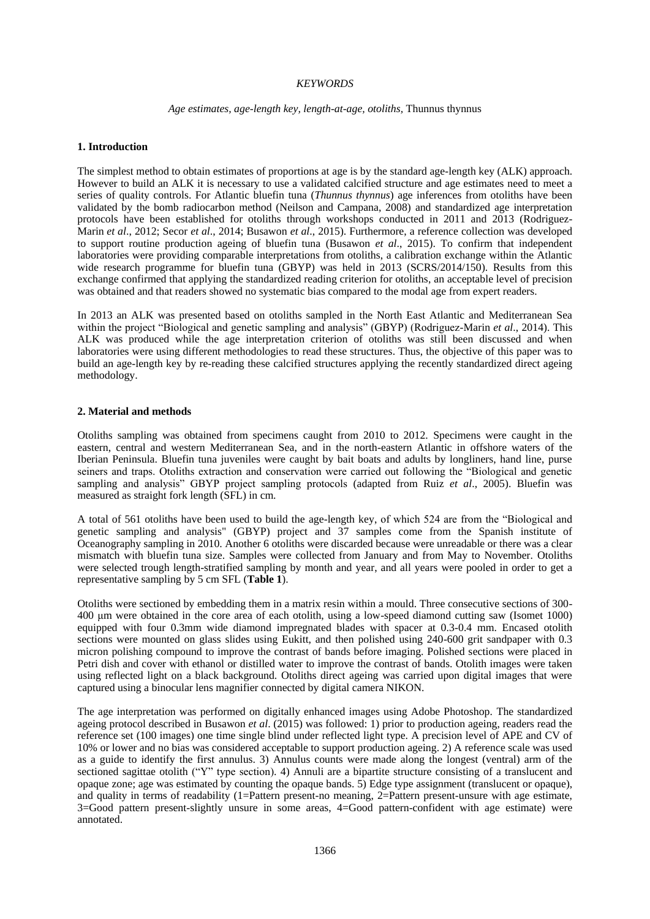### *KEYWORDS*

### *Age estimates, age-length key, length-at-age, otoliths,* Thunnus thynnus

### **1. Introduction**

The simplest method to obtain estimates of proportions at age is by the standard age-length key (ALK) approach. However to build an ALK it is necessary to use a validated calcified structure and age estimates need to meet a series of quality controls. For Atlantic bluefin tuna (*Thunnus thynnus*) age inferences from otoliths have been validated by the bomb radiocarbon method (Neilson and Campana, 2008) and standardized age interpretation protocols have been established for otoliths through workshops conducted in 2011 and 2013 (Rodriguez-Marin *et al*., 2012; Secor *et al*., 2014; Busawon *et al*., 2015). Furthermore, a reference collection was developed to support routine production ageing of bluefin tuna (Busawon *et al*., 2015). To confirm that independent laboratories were providing comparable interpretations from otoliths, a calibration exchange within the Atlantic wide research programme for bluefin tuna (GBYP) was held in 2013 (SCRS/2014/150). Results from this exchange confirmed that applying the standardized reading criterion for otoliths, an acceptable level of precision was obtained and that readers showed no systematic bias compared to the modal age from expert readers.

In 2013 an ALK was presented based on otoliths sampled in the North East Atlantic and Mediterranean Sea within the project "Biological and genetic sampling and analysis" (GBYP) (Rodriguez-Marin *et al*., 2014). This ALK was produced while the age interpretation criterion of otoliths was still been discussed and when laboratories were using different methodologies to read these structures. Thus, the objective of this paper was to build an age-length key by re-reading these calcified structures applying the recently standardized direct ageing methodology.

### **2. Material and methods**

Otoliths sampling was obtained from specimens caught from 2010 to 2012. Specimens were caught in the eastern, central and western Mediterranean Sea, and in the north-eastern Atlantic in offshore waters of the Iberian Peninsula. Bluefin tuna juveniles were caught by bait boats and adults by longliners, hand line, purse seiners and traps. Otoliths extraction and conservation were carried out following the "Biological and genetic sampling and analysis" GBYP project sampling protocols (adapted from Ruiz *et al*., 2005). Bluefin was measured as straight fork length (SFL) in cm.

A total of 561 otoliths have been used to build the age-length key, of which 524 are from the "Biological and genetic sampling and analysis" (GBYP) project and 37 samples come from the Spanish institute of Oceanography sampling in 2010. Another 6 otoliths were discarded because were unreadable or there was a clear mismatch with bluefin tuna size. Samples were collected from January and from May to November. Otoliths were selected trough length-stratified sampling by month and year, and all years were pooled in order to get a representative sampling by 5 cm SFL (**Table 1**).

Otoliths were sectioned by embedding them in a matrix resin within a mould. Three consecutive sections of 300- 400 μm were obtained in the core area of each otolith, using a low-speed diamond cutting saw (Isomet 1000) equipped with four 0.3mm wide diamond impregnated blades with spacer at 0.3-0.4 mm. Encased otolith sections were mounted on glass slides using Eukitt, and then polished using 240-600 grit sandpaper with 0.3 micron polishing compound to improve the contrast of bands before imaging. Polished sections were placed in Petri dish and cover with ethanol or distilled water to improve the contrast of bands. Otolith images were taken using reflected light on a black background. Otoliths direct ageing was carried upon digital images that were captured using a binocular lens magnifier connected by digital camera NIKON.

The age interpretation was performed on digitally enhanced images using Adobe Photoshop. The standardized ageing protocol described in Busawon *et al*. (2015) was followed: 1) prior to production ageing, readers read the reference set (100 images) one time single blind under reflected light type. A precision level of APE and CV of 10% or lower and no bias was considered acceptable to support production ageing. 2) A reference scale was used as a guide to identify the first annulus. 3) Annulus counts were made along the longest (ventral) arm of the sectioned sagittae otolith ("Y" type section). 4) Annuli are a bipartite structure consisting of a translucent and opaque zone; age was estimated by counting the opaque bands. 5) Edge type assignment (translucent or opaque), and quality in terms of readability (1=Pattern present-no meaning, 2=Pattern present-unsure with age estimate, 3=Good pattern present-slightly unsure in some areas, 4=Good pattern-confident with age estimate) were annotated.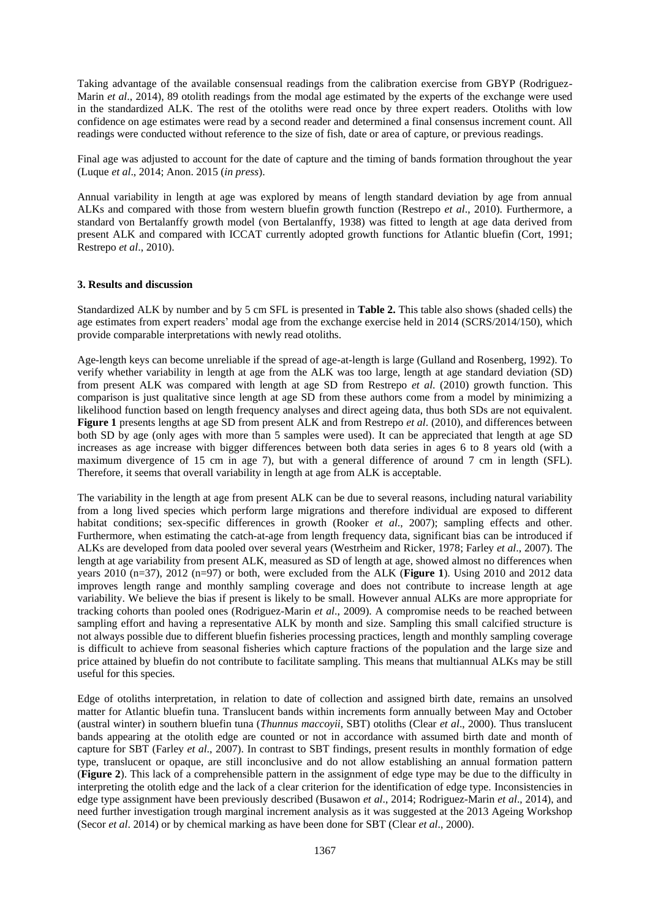Taking advantage of the available consensual readings from the calibration exercise from GBYP (Rodriguez-Marin *et al*., 2014), 89 otolith readings from the modal age estimated by the experts of the exchange were used in the standardized ALK. The rest of the otoliths were read once by three expert readers. Otoliths with low confidence on age estimates were read by a second reader and determined a final consensus increment count. All readings were conducted without reference to the size of fish, date or area of capture, or previous readings.

Final age was adjusted to account for the date of capture and the timing of bands formation throughout the year (Luque *et al*., 2014; Anon. 2015 (*in press*).

Annual variability in length at age was explored by means of length standard deviation by age from annual ALKs and compared with those from western bluefin growth function (Restrepo *et al*., 2010). Furthermore, a standard von Bertalanffy growth model (von Bertalanffy, 1938) was fitted to length at age data derived from present ALK and compared with ICCAT currently adopted growth functions for Atlantic bluefin (Cort, 1991; Restrepo *et al*., 2010).

#### **3. Results and discussion**

Standardized ALK by number and by 5 cm SFL is presented in **Table 2.** This table also shows (shaded cells) the age estimates from expert readers' modal age from the exchange exercise held in 2014 (SCRS/2014/150), which provide comparable interpretations with newly read otoliths.

Age-length keys can become unreliable if the spread of age-at-length is large (Gulland and Rosenberg, 1992). To verify whether variability in length at age from the ALK was too large, length at age standard deviation (SD) from present ALK was compared with length at age SD from Restrepo *et al*. (2010) growth function. This comparison is just qualitative since length at age SD from these authors come from a model by minimizing a likelihood function based on length frequency analyses and direct ageing data, thus both SDs are not equivalent. **Figure 1** presents lengths at age SD from present ALK and from Restrepo *et al*. (2010), and differences between both SD by age (only ages with more than 5 samples were used). It can be appreciated that length at age SD increases as age increase with bigger differences between both data series in ages 6 to 8 years old (with a maximum divergence of 15 cm in age 7), but with a general difference of around 7 cm in length (SFL). Therefore, it seems that overall variability in length at age from ALK is acceptable.

The variability in the length at age from present ALK can be due to several reasons, including natural variability from a long lived species which perform large migrations and therefore individual are exposed to different habitat conditions; sex-specific differences in growth (Rooker *et al.*, 2007); sampling effects and other. Furthermore, when estimating the catch-at-age from length frequency data, significant bias can be introduced if ALKs are developed from data pooled over several years (Westrheim and Ricker, 1978; Farley *et al*., 2007). The length at age variability from present ALK, measured as SD of length at age, showed almost no differences when years 2010 (n=37), 2012 (n=97) or both, were excluded from the ALK (**Figure 1**). Using 2010 and 2012 data improves length range and monthly sampling coverage and does not contribute to increase length at age variability. We believe the bias if present is likely to be small. However annual ALKs are more appropriate for tracking cohorts than pooled ones (Rodriguez-Marin *et al*., 2009). A compromise needs to be reached between sampling effort and having a representative ALK by month and size. Sampling this small calcified structure is not always possible due to different bluefin fisheries processing practices, length and monthly sampling coverage is difficult to achieve from seasonal fisheries which capture fractions of the population and the large size and price attained by bluefin do not contribute to facilitate sampling. This means that multiannual ALKs may be still useful for this species.

Edge of otoliths interpretation, in relation to date of collection and assigned birth date, remains an unsolved matter for Atlantic bluefin tuna. Translucent bands within increments form annually between May and October (austral winter) in southern bluefin tuna (*Thunnus maccoyii*, SBT) otoliths (Clear *et al*., 2000). Thus translucent bands appearing at the otolith edge are counted or not in accordance with assumed birth date and month of capture for SBT (Farley *et al*., 2007). In contrast to SBT findings, present results in monthly formation of edge type, translucent or opaque, are still inconclusive and do not allow establishing an annual formation pattern (**Figure 2**). This lack of a comprehensible pattern in the assignment of edge type may be due to the difficulty in interpreting the otolith edge and the lack of a clear criterion for the identification of edge type. Inconsistencies in edge type assignment have been previously described (Busawon *et al*., 2014; Rodriguez-Marin *et al*., 2014), and need further investigation trough marginal increment analysis as it was suggested at the 2013 Ageing Workshop (Secor *et al*. 2014) or by chemical marking as have been done for SBT (Clear *et al*., 2000).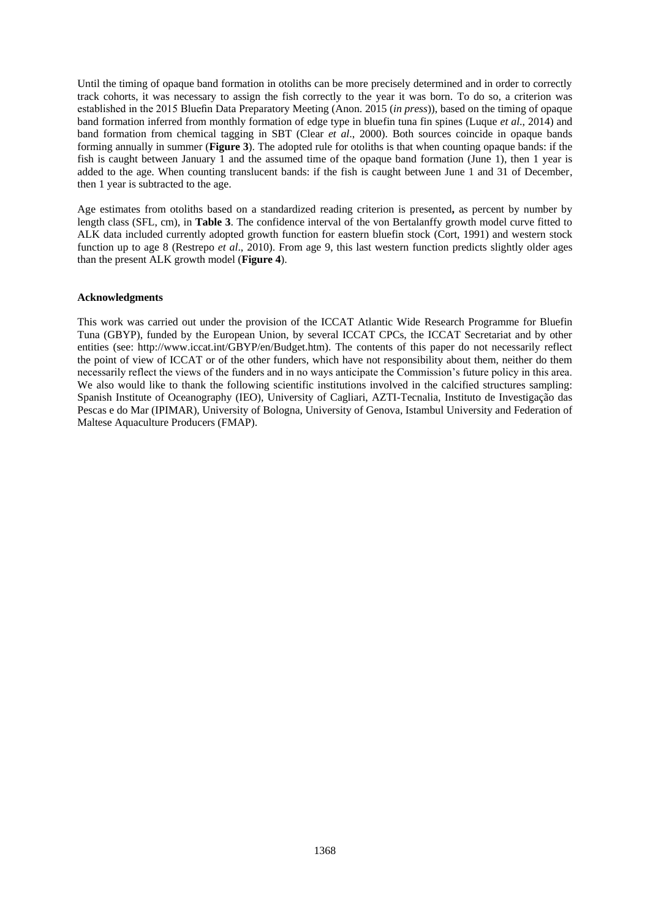Until the timing of opaque band formation in otoliths can be more precisely determined and in order to correctly track cohorts, it was necessary to assign the fish correctly to the year it was born. To do so, a criterion was established in the 2015 Bluefin Data Preparatory Meeting (Anon. 2015 (*in press*)), based on the timing of opaque band formation inferred from monthly formation of edge type in bluefin tuna fin spines (Luque *et al*., 2014) and band formation from chemical tagging in SBT (Clear *et al*., 2000). Both sources coincide in opaque bands forming annually in summer (**Figure 3**). The adopted rule for otoliths is that when counting opaque bands: if the fish is caught between January 1 and the assumed time of the opaque band formation (June 1), then 1 year is added to the age. When counting translucent bands: if the fish is caught between June 1 and 31 of December, then 1 year is subtracted to the age.

Age estimates from otoliths based on a standardized reading criterion is presented**,** as percent by number by length class (SFL, cm), in **Table 3**. The confidence interval of the von Bertalanffy growth model curve fitted to ALK data included currently adopted growth function for eastern bluefin stock (Cort, 1991) and western stock function up to age 8 (Restrepo *et al*., 2010). From age 9, this last western function predicts slightly older ages than the present ALK growth model (**Figure 4**).

### **Acknowledgments**

This work was carried out under the provision of the ICCAT Atlantic Wide Research Programme for Bluefin Tuna (GBYP), funded by the European Union, by several ICCAT CPCs, the ICCAT Secretariat and by other entities (see: http://www.iccat.int/GBYP/en/Budget.htm). The contents of this paper do not necessarily reflect the point of view of ICCAT or of the other funders, which have not responsibility about them, neither do them necessarily reflect the views of the funders and in no ways anticipate the Commission's future policy in this area. We also would like to thank the following scientific institutions involved in the calcified structures sampling: Spanish Institute of Oceanography (IEO), University of Cagliari, AZTI-Tecnalia, Instituto de Investigação das Pescas e do Mar (IPIMAR), University of Bologna, University of Genova, Istambul University and Federation of Maltese Aquaculture Producers (FMAP).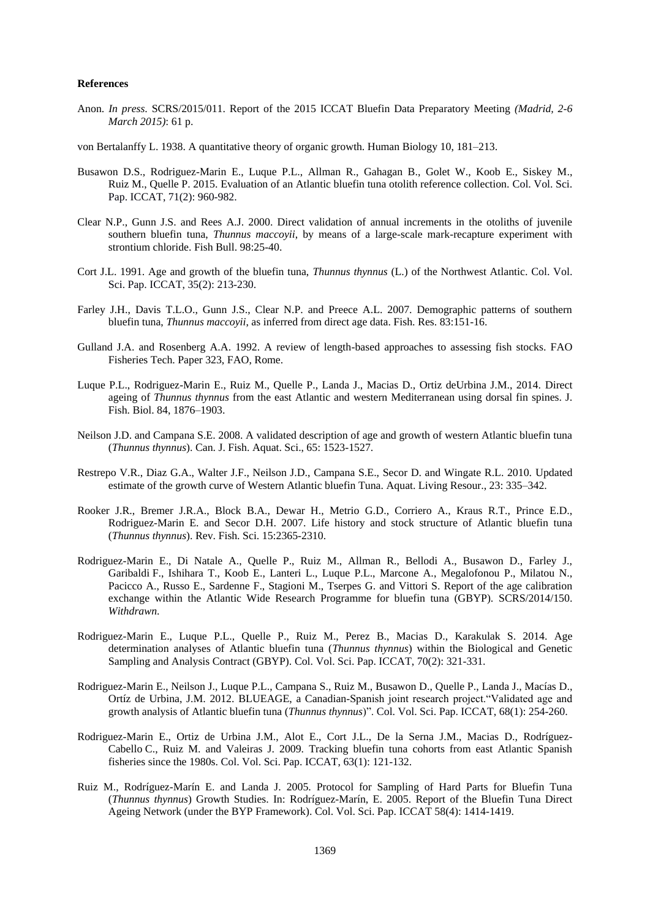#### **References**

- Anon. *In press*. SCRS/2015/011. Report of the 2015 ICCAT Bluefin Data Preparatory Meeting *(Madrid, 2-6 March 2015)*: 61 p.
- von Bertalanffy L. 1938. A quantitative theory of organic growth. Human Biology 10, 181–213.
- Busawon D.S., Rodriguez-Marin E., Luque P.L., Allman R., Gahagan B., Golet W., Koob E., Siskey M., Ruiz M., Quelle P. 2015. Evaluation of an Atlantic bluefin tuna otolith reference collection. Col. Vol. Sci. Pap. ICCAT, 71(2): 960-982.
- Clear N.P., Gunn J.S. and Rees A.J. 2000. Direct validation of annual increments in the otoliths of juvenile southern bluefin tuna, *Thunnus maccoyii*, by means of a large-scale mark-recapture experiment with strontium chloride. Fish Bull. 98:25-40.
- Cort J.L. 1991. Age and growth of the bluefin tuna, *Thunnus thynnus* (L.) of the Northwest Atlantic. Col. Vol. Sci. Pap. ICCAT, 35(2): 213-230.
- Farley J.H., Davis T.L.O., Gunn J.S., Clear N.P. and Preece A.L. 2007. Demographic patterns of southern bluefin tuna, *Thunnus maccoyii*, as inferred from direct age data. Fish. Res. 83:151-16.
- Gulland J.A. and Rosenberg A.A. 1992. A review of length-based approaches to assessing fish stocks. FAO Fisheries Tech. Paper 323, FAO, Rome.
- Luque P.L., Rodriguez-Marin E., Ruiz M., Quelle P., Landa J., Macias D., Ortiz deUrbina J.M., 2014. Direct ageing of *Thunnus thynnus* from the east Atlantic and western Mediterranean using dorsal fin spines. J. Fish. Biol. 84, 1876–1903.
- Neilson J.D. and Campana S.E. 2008. A validated description of age and growth of western Atlantic bluefin tuna (*Thunnus thynnus*). Can. J. Fish. Aquat. Sci., 65: 1523-1527.
- Restrepo V.R., Diaz G.A., Walter J.F., Neilson J.D., Campana S.E., Secor D. and Wingate R.L. 2010. Updated estimate of the growth curve of Western Atlantic bluefin Tuna. Aquat. Living Resour., 23: 335–342.
- Rooker J.R., Bremer J.R.A., Block B.A., Dewar H., Metrio G.D., Corriero A., Kraus R.T., Prince E.D., Rodriguez-Marin E. and Secor D.H. 2007. Life history and stock structure of Atlantic bluefin tuna (*Thunnus thynnus*). Rev. Fish. Sci. 15:2365-2310.
- Rodriguez-Marin E., Di Natale A., Quelle P., Ruiz M., Allman R., Bellodi A., Busawon D., Farley J., Garibaldi F., Ishihara T., Koob E., Lanteri L., Luque P.L., Marcone A., Megalofonou P., Milatou N., Pacicco A., Russo E., Sardenne F., Stagioni M., Tserpes G. and Vittori S. Report of the age calibration exchange within the Atlantic Wide Research Programme for bluefin tuna (GBYP). SCRS/2014/150. *Withdrawn*.
- Rodriguez-Marin E., Luque P.L., Quelle P., Ruiz M., Perez B., Macias D., Karakulak S. 2014. Age determination analyses of Atlantic bluefin tuna (*Thunnus thynnus*) within the Biological and Genetic Sampling and Analysis Contract (GBYP). Col. Vol. Sci. Pap. ICCAT, 70(2): 321-331.
- Rodriguez-Marin E., Neilson J., Luque P.L., Campana S., Ruiz M., Busawon D., Quelle P., Landa J., Macías D., Ortíz de Urbina, J.M. 2012. BLUEAGE, a Canadian-Spanish joint research project."Validated age and growth analysis of Atlantic bluefin tuna (*Thunnus thynnus*)". Col. Vol. Sci. Pap. ICCAT, 68(1): 254-260.
- Rodriguez-Marin E., Ortiz de Urbina J.M., Alot E., Cort J.L., De la Serna J.M., Macias D., Rodríguez-Cabello C., Ruiz M. and Valeiras J. 2009. Tracking bluefin tuna cohorts from east Atlantic Spanish fisheries since the 1980s. Col. Vol. Sci. Pap. ICCAT, 63(1): 121-132.
- Ruiz M., Rodríguez-Marín E. and Landa J. 2005. Protocol for Sampling of Hard Parts for Bluefin Tuna (*Thunnus thynnus*) Growth Studies. In: Rodríguez-Marín, E. 2005. Report of the Bluefin Tuna Direct Ageing Network (under the BYP Framework). Col. Vol. Sci. Pap. ICCAT 58(4): 1414-1419.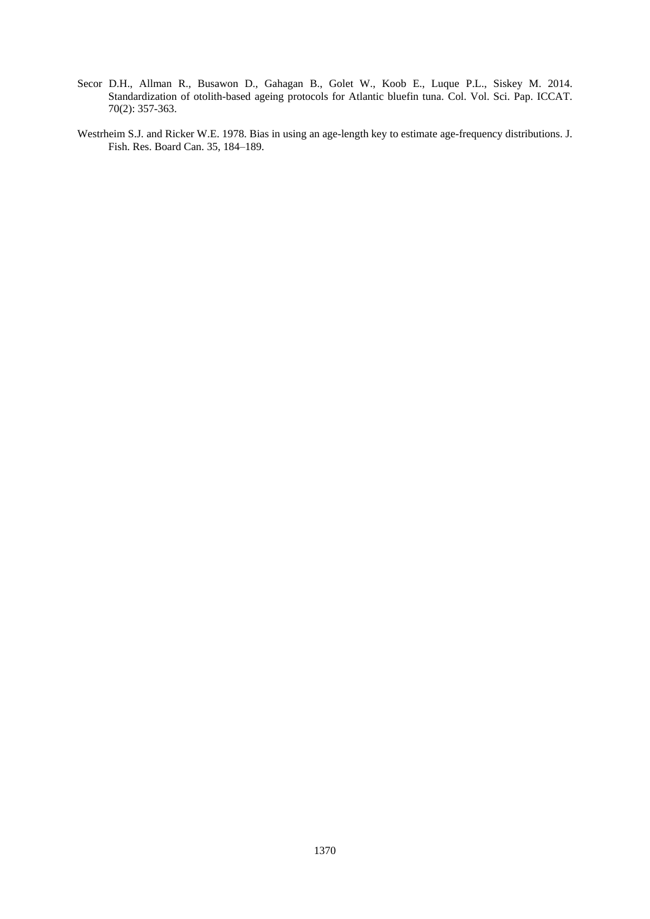- Secor D.H., Allman R., Busawon D., Gahagan B., Golet W., Koob E., Luque P.L., Siskey M. 2014. Standardization of otolith-based ageing protocols for Atlantic bluefin tuna. Col. Vol. Sci. Pap. ICCAT. 70(2): 357-363.
- Westrheim S.J. and Ricker W.E. 1978. Bias in using an age-length key to estimate age-frequency distributions. J. Fish. Res. Board Can. 35, 184–189.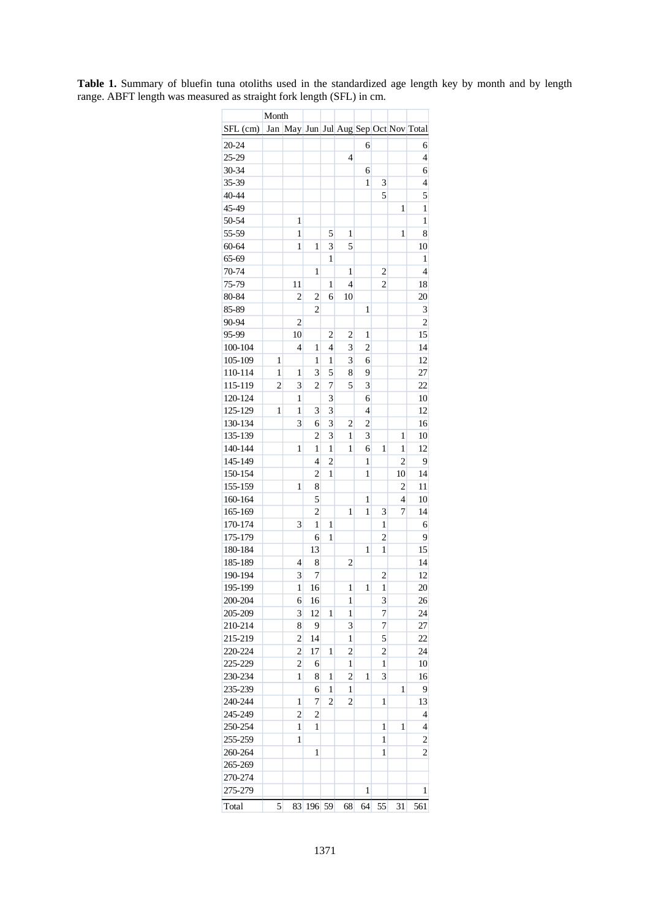| May Jun Jul Aug Sep Oct Nov Total<br>SFL (cm)<br>Jan<br>20-24<br>6<br>6<br>25-29<br>4<br>4<br>30-34<br>6<br>6<br>35-39<br>1<br>3<br>$\overline{4}$<br>5<br>5<br>40-44<br>45-49<br>1<br>$\mathbf{1}$<br>50-54<br>1<br>$\mathbf{1}$<br>55-59<br>1<br>5<br>1<br>8<br>1<br>3<br>5<br>60-64<br>1<br>1<br>10<br>65-69<br>1<br>1<br>70-74<br>1<br>$\overline{c}$<br>$\overline{4}$<br>1<br>$\overline{c}$<br>75-79<br>11<br>1<br>4<br>18<br>80-84<br>$\overline{c}$<br>$\overline{c}$<br>10<br>20<br>6<br>85-89<br>$\overline{\mathbf{c}}$<br>3<br>1<br>$\overline{2}$<br>90-94<br>$\overline{c}$<br>95-99<br>10<br>15<br>$\overline{c}$<br>$\overline{\mathbf{c}}$<br>1<br>$\overline{4}$<br>$\overline{c}$<br>100-104<br>4<br>3<br>14<br>1<br>$\mathbf{1}$<br>3<br>12<br>105-109<br>1<br>1<br>6<br>110-114<br>3<br>5<br>8<br>27<br>1<br>1<br>9<br>115-119<br>$\overline{7}$<br>$\overline{22}$<br>$\overline{c}$<br>3<br>$\overline{\mathbf{c}}$<br>5<br>3<br>120-124<br>1<br>3<br>10<br>6<br>3<br>125-129<br>$\mathbf{1}$<br>3<br>4<br>12<br>1<br>3<br>$\overline{c}$<br>130-134<br>3<br>$\overline{c}$<br>16<br>6<br>135-139<br>$\overline{c}$<br>3<br>1<br>3<br>1<br>10<br>140-144<br>1<br>1<br>1<br>12<br>1<br>1<br>6<br>1<br>$\overline{c}$<br>145-149<br>$\overline{4}$<br>$\overline{c}$<br>9<br>1<br>150-154<br>$\overline{\mathbf{c}}$<br>10<br>14<br>1<br>1<br>155-159<br>1<br>8<br>$\overline{c}$<br>11<br>5<br>160-164<br>1<br>$\overline{4}$<br>10<br>$\overline{c}$<br>165-169<br>1<br>3<br>7<br>14<br>1<br>170-174<br>3<br>1<br>1<br>1<br>6<br>175-179<br>1<br>$\overline{c}$<br>9<br>6<br>13<br>180-184<br>1<br>15<br>1<br>185-189<br>4<br>8<br>$\overline{c}$<br>14<br>7<br>190-194<br>3<br>12<br>$\overline{c}$<br>195-199<br>1<br>16<br>1<br>1<br>1<br>20<br>200-204<br>16<br>1<br>3<br>26<br>6<br>3<br>12<br>7<br>24<br>205-209<br>1<br>1<br>7<br>210-214<br>9<br>27<br>8<br>3<br>5<br>$\overline{c}$<br>22<br>215-219<br>14<br>1<br>220-224<br>$\overline{c}$<br>17<br>$\overline{c}$<br>$\overline{\mathbf{c}}$<br>24<br>1<br>225-229<br>$\overline{\mathbf{c}}$<br>1<br>10<br>6<br>1<br>230-234<br>1<br>1<br>$\overline{\mathbf{c}}$<br>1<br>3<br>16<br>8<br>235-239<br>6<br>1<br>1<br>9<br>1<br>240-244<br>7<br>$\overline{2}$<br>$\overline{2}$<br>1<br>1<br>13<br>245-249<br>$\overline{c}$<br>$\overline{c}$<br>4<br>250-254<br>1<br>1<br>1<br>1<br>4<br>255-259<br>$\overline{\mathbf{c}}$<br>1<br>1<br>260-264<br>$\mathbf{1}$<br>$\mathbf{1}$<br>$\overline{2}$<br>265-269<br>270-274<br>$\mathbf{1}$<br>275-279<br>1<br>Total<br>196 59<br>5<br>83<br>68<br>64<br>55<br>31<br>561 | Month |  |  |  |  |
|-------------------------------------------------------------------------------------------------------------------------------------------------------------------------------------------------------------------------------------------------------------------------------------------------------------------------------------------------------------------------------------------------------------------------------------------------------------------------------------------------------------------------------------------------------------------------------------------------------------------------------------------------------------------------------------------------------------------------------------------------------------------------------------------------------------------------------------------------------------------------------------------------------------------------------------------------------------------------------------------------------------------------------------------------------------------------------------------------------------------------------------------------------------------------------------------------------------------------------------------------------------------------------------------------------------------------------------------------------------------------------------------------------------------------------------------------------------------------------------------------------------------------------------------------------------------------------------------------------------------------------------------------------------------------------------------------------------------------------------------------------------------------------------------------------------------------------------------------------------------------------------------------------------------------------------------------------------------------------------------------------------------------------------------------------------------------------------------------------------------------------------------------------------------------------------------------------------------------------------------------------------------------------------------------------------------------------------------------------------------------------------------------------------------------------------------------------------------------------------------------------------------------------------------------------------------------------------------------------------|-------|--|--|--|--|
|                                                                                                                                                                                                                                                                                                                                                                                                                                                                                                                                                                                                                                                                                                                                                                                                                                                                                                                                                                                                                                                                                                                                                                                                                                                                                                                                                                                                                                                                                                                                                                                                                                                                                                                                                                                                                                                                                                                                                                                                                                                                                                                                                                                                                                                                                                                                                                                                                                                                                                                                                                                                             |       |  |  |  |  |
|                                                                                                                                                                                                                                                                                                                                                                                                                                                                                                                                                                                                                                                                                                                                                                                                                                                                                                                                                                                                                                                                                                                                                                                                                                                                                                                                                                                                                                                                                                                                                                                                                                                                                                                                                                                                                                                                                                                                                                                                                                                                                                                                                                                                                                                                                                                                                                                                                                                                                                                                                                                                             |       |  |  |  |  |
|                                                                                                                                                                                                                                                                                                                                                                                                                                                                                                                                                                                                                                                                                                                                                                                                                                                                                                                                                                                                                                                                                                                                                                                                                                                                                                                                                                                                                                                                                                                                                                                                                                                                                                                                                                                                                                                                                                                                                                                                                                                                                                                                                                                                                                                                                                                                                                                                                                                                                                                                                                                                             |       |  |  |  |  |
|                                                                                                                                                                                                                                                                                                                                                                                                                                                                                                                                                                                                                                                                                                                                                                                                                                                                                                                                                                                                                                                                                                                                                                                                                                                                                                                                                                                                                                                                                                                                                                                                                                                                                                                                                                                                                                                                                                                                                                                                                                                                                                                                                                                                                                                                                                                                                                                                                                                                                                                                                                                                             |       |  |  |  |  |
|                                                                                                                                                                                                                                                                                                                                                                                                                                                                                                                                                                                                                                                                                                                                                                                                                                                                                                                                                                                                                                                                                                                                                                                                                                                                                                                                                                                                                                                                                                                                                                                                                                                                                                                                                                                                                                                                                                                                                                                                                                                                                                                                                                                                                                                                                                                                                                                                                                                                                                                                                                                                             |       |  |  |  |  |
|                                                                                                                                                                                                                                                                                                                                                                                                                                                                                                                                                                                                                                                                                                                                                                                                                                                                                                                                                                                                                                                                                                                                                                                                                                                                                                                                                                                                                                                                                                                                                                                                                                                                                                                                                                                                                                                                                                                                                                                                                                                                                                                                                                                                                                                                                                                                                                                                                                                                                                                                                                                                             |       |  |  |  |  |
|                                                                                                                                                                                                                                                                                                                                                                                                                                                                                                                                                                                                                                                                                                                                                                                                                                                                                                                                                                                                                                                                                                                                                                                                                                                                                                                                                                                                                                                                                                                                                                                                                                                                                                                                                                                                                                                                                                                                                                                                                                                                                                                                                                                                                                                                                                                                                                                                                                                                                                                                                                                                             |       |  |  |  |  |
|                                                                                                                                                                                                                                                                                                                                                                                                                                                                                                                                                                                                                                                                                                                                                                                                                                                                                                                                                                                                                                                                                                                                                                                                                                                                                                                                                                                                                                                                                                                                                                                                                                                                                                                                                                                                                                                                                                                                                                                                                                                                                                                                                                                                                                                                                                                                                                                                                                                                                                                                                                                                             |       |  |  |  |  |
|                                                                                                                                                                                                                                                                                                                                                                                                                                                                                                                                                                                                                                                                                                                                                                                                                                                                                                                                                                                                                                                                                                                                                                                                                                                                                                                                                                                                                                                                                                                                                                                                                                                                                                                                                                                                                                                                                                                                                                                                                                                                                                                                                                                                                                                                                                                                                                                                                                                                                                                                                                                                             |       |  |  |  |  |
|                                                                                                                                                                                                                                                                                                                                                                                                                                                                                                                                                                                                                                                                                                                                                                                                                                                                                                                                                                                                                                                                                                                                                                                                                                                                                                                                                                                                                                                                                                                                                                                                                                                                                                                                                                                                                                                                                                                                                                                                                                                                                                                                                                                                                                                                                                                                                                                                                                                                                                                                                                                                             |       |  |  |  |  |
|                                                                                                                                                                                                                                                                                                                                                                                                                                                                                                                                                                                                                                                                                                                                                                                                                                                                                                                                                                                                                                                                                                                                                                                                                                                                                                                                                                                                                                                                                                                                                                                                                                                                                                                                                                                                                                                                                                                                                                                                                                                                                                                                                                                                                                                                                                                                                                                                                                                                                                                                                                                                             |       |  |  |  |  |
|                                                                                                                                                                                                                                                                                                                                                                                                                                                                                                                                                                                                                                                                                                                                                                                                                                                                                                                                                                                                                                                                                                                                                                                                                                                                                                                                                                                                                                                                                                                                                                                                                                                                                                                                                                                                                                                                                                                                                                                                                                                                                                                                                                                                                                                                                                                                                                                                                                                                                                                                                                                                             |       |  |  |  |  |
|                                                                                                                                                                                                                                                                                                                                                                                                                                                                                                                                                                                                                                                                                                                                                                                                                                                                                                                                                                                                                                                                                                                                                                                                                                                                                                                                                                                                                                                                                                                                                                                                                                                                                                                                                                                                                                                                                                                                                                                                                                                                                                                                                                                                                                                                                                                                                                                                                                                                                                                                                                                                             |       |  |  |  |  |
|                                                                                                                                                                                                                                                                                                                                                                                                                                                                                                                                                                                                                                                                                                                                                                                                                                                                                                                                                                                                                                                                                                                                                                                                                                                                                                                                                                                                                                                                                                                                                                                                                                                                                                                                                                                                                                                                                                                                                                                                                                                                                                                                                                                                                                                                                                                                                                                                                                                                                                                                                                                                             |       |  |  |  |  |
|                                                                                                                                                                                                                                                                                                                                                                                                                                                                                                                                                                                                                                                                                                                                                                                                                                                                                                                                                                                                                                                                                                                                                                                                                                                                                                                                                                                                                                                                                                                                                                                                                                                                                                                                                                                                                                                                                                                                                                                                                                                                                                                                                                                                                                                                                                                                                                                                                                                                                                                                                                                                             |       |  |  |  |  |
|                                                                                                                                                                                                                                                                                                                                                                                                                                                                                                                                                                                                                                                                                                                                                                                                                                                                                                                                                                                                                                                                                                                                                                                                                                                                                                                                                                                                                                                                                                                                                                                                                                                                                                                                                                                                                                                                                                                                                                                                                                                                                                                                                                                                                                                                                                                                                                                                                                                                                                                                                                                                             |       |  |  |  |  |
|                                                                                                                                                                                                                                                                                                                                                                                                                                                                                                                                                                                                                                                                                                                                                                                                                                                                                                                                                                                                                                                                                                                                                                                                                                                                                                                                                                                                                                                                                                                                                                                                                                                                                                                                                                                                                                                                                                                                                                                                                                                                                                                                                                                                                                                                                                                                                                                                                                                                                                                                                                                                             |       |  |  |  |  |
|                                                                                                                                                                                                                                                                                                                                                                                                                                                                                                                                                                                                                                                                                                                                                                                                                                                                                                                                                                                                                                                                                                                                                                                                                                                                                                                                                                                                                                                                                                                                                                                                                                                                                                                                                                                                                                                                                                                                                                                                                                                                                                                                                                                                                                                                                                                                                                                                                                                                                                                                                                                                             |       |  |  |  |  |
|                                                                                                                                                                                                                                                                                                                                                                                                                                                                                                                                                                                                                                                                                                                                                                                                                                                                                                                                                                                                                                                                                                                                                                                                                                                                                                                                                                                                                                                                                                                                                                                                                                                                                                                                                                                                                                                                                                                                                                                                                                                                                                                                                                                                                                                                                                                                                                                                                                                                                                                                                                                                             |       |  |  |  |  |
|                                                                                                                                                                                                                                                                                                                                                                                                                                                                                                                                                                                                                                                                                                                                                                                                                                                                                                                                                                                                                                                                                                                                                                                                                                                                                                                                                                                                                                                                                                                                                                                                                                                                                                                                                                                                                                                                                                                                                                                                                                                                                                                                                                                                                                                                                                                                                                                                                                                                                                                                                                                                             |       |  |  |  |  |
|                                                                                                                                                                                                                                                                                                                                                                                                                                                                                                                                                                                                                                                                                                                                                                                                                                                                                                                                                                                                                                                                                                                                                                                                                                                                                                                                                                                                                                                                                                                                                                                                                                                                                                                                                                                                                                                                                                                                                                                                                                                                                                                                                                                                                                                                                                                                                                                                                                                                                                                                                                                                             |       |  |  |  |  |
|                                                                                                                                                                                                                                                                                                                                                                                                                                                                                                                                                                                                                                                                                                                                                                                                                                                                                                                                                                                                                                                                                                                                                                                                                                                                                                                                                                                                                                                                                                                                                                                                                                                                                                                                                                                                                                                                                                                                                                                                                                                                                                                                                                                                                                                                                                                                                                                                                                                                                                                                                                                                             |       |  |  |  |  |
|                                                                                                                                                                                                                                                                                                                                                                                                                                                                                                                                                                                                                                                                                                                                                                                                                                                                                                                                                                                                                                                                                                                                                                                                                                                                                                                                                                                                                                                                                                                                                                                                                                                                                                                                                                                                                                                                                                                                                                                                                                                                                                                                                                                                                                                                                                                                                                                                                                                                                                                                                                                                             |       |  |  |  |  |
|                                                                                                                                                                                                                                                                                                                                                                                                                                                                                                                                                                                                                                                                                                                                                                                                                                                                                                                                                                                                                                                                                                                                                                                                                                                                                                                                                                                                                                                                                                                                                                                                                                                                                                                                                                                                                                                                                                                                                                                                                                                                                                                                                                                                                                                                                                                                                                                                                                                                                                                                                                                                             |       |  |  |  |  |
|                                                                                                                                                                                                                                                                                                                                                                                                                                                                                                                                                                                                                                                                                                                                                                                                                                                                                                                                                                                                                                                                                                                                                                                                                                                                                                                                                                                                                                                                                                                                                                                                                                                                                                                                                                                                                                                                                                                                                                                                                                                                                                                                                                                                                                                                                                                                                                                                                                                                                                                                                                                                             |       |  |  |  |  |
|                                                                                                                                                                                                                                                                                                                                                                                                                                                                                                                                                                                                                                                                                                                                                                                                                                                                                                                                                                                                                                                                                                                                                                                                                                                                                                                                                                                                                                                                                                                                                                                                                                                                                                                                                                                                                                                                                                                                                                                                                                                                                                                                                                                                                                                                                                                                                                                                                                                                                                                                                                                                             |       |  |  |  |  |
|                                                                                                                                                                                                                                                                                                                                                                                                                                                                                                                                                                                                                                                                                                                                                                                                                                                                                                                                                                                                                                                                                                                                                                                                                                                                                                                                                                                                                                                                                                                                                                                                                                                                                                                                                                                                                                                                                                                                                                                                                                                                                                                                                                                                                                                                                                                                                                                                                                                                                                                                                                                                             |       |  |  |  |  |
|                                                                                                                                                                                                                                                                                                                                                                                                                                                                                                                                                                                                                                                                                                                                                                                                                                                                                                                                                                                                                                                                                                                                                                                                                                                                                                                                                                                                                                                                                                                                                                                                                                                                                                                                                                                                                                                                                                                                                                                                                                                                                                                                                                                                                                                                                                                                                                                                                                                                                                                                                                                                             |       |  |  |  |  |
|                                                                                                                                                                                                                                                                                                                                                                                                                                                                                                                                                                                                                                                                                                                                                                                                                                                                                                                                                                                                                                                                                                                                                                                                                                                                                                                                                                                                                                                                                                                                                                                                                                                                                                                                                                                                                                                                                                                                                                                                                                                                                                                                                                                                                                                                                                                                                                                                                                                                                                                                                                                                             |       |  |  |  |  |
|                                                                                                                                                                                                                                                                                                                                                                                                                                                                                                                                                                                                                                                                                                                                                                                                                                                                                                                                                                                                                                                                                                                                                                                                                                                                                                                                                                                                                                                                                                                                                                                                                                                                                                                                                                                                                                                                                                                                                                                                                                                                                                                                                                                                                                                                                                                                                                                                                                                                                                                                                                                                             |       |  |  |  |  |
|                                                                                                                                                                                                                                                                                                                                                                                                                                                                                                                                                                                                                                                                                                                                                                                                                                                                                                                                                                                                                                                                                                                                                                                                                                                                                                                                                                                                                                                                                                                                                                                                                                                                                                                                                                                                                                                                                                                                                                                                                                                                                                                                                                                                                                                                                                                                                                                                                                                                                                                                                                                                             |       |  |  |  |  |
|                                                                                                                                                                                                                                                                                                                                                                                                                                                                                                                                                                                                                                                                                                                                                                                                                                                                                                                                                                                                                                                                                                                                                                                                                                                                                                                                                                                                                                                                                                                                                                                                                                                                                                                                                                                                                                                                                                                                                                                                                                                                                                                                                                                                                                                                                                                                                                                                                                                                                                                                                                                                             |       |  |  |  |  |
|                                                                                                                                                                                                                                                                                                                                                                                                                                                                                                                                                                                                                                                                                                                                                                                                                                                                                                                                                                                                                                                                                                                                                                                                                                                                                                                                                                                                                                                                                                                                                                                                                                                                                                                                                                                                                                                                                                                                                                                                                                                                                                                                                                                                                                                                                                                                                                                                                                                                                                                                                                                                             |       |  |  |  |  |
|                                                                                                                                                                                                                                                                                                                                                                                                                                                                                                                                                                                                                                                                                                                                                                                                                                                                                                                                                                                                                                                                                                                                                                                                                                                                                                                                                                                                                                                                                                                                                                                                                                                                                                                                                                                                                                                                                                                                                                                                                                                                                                                                                                                                                                                                                                                                                                                                                                                                                                                                                                                                             |       |  |  |  |  |
|                                                                                                                                                                                                                                                                                                                                                                                                                                                                                                                                                                                                                                                                                                                                                                                                                                                                                                                                                                                                                                                                                                                                                                                                                                                                                                                                                                                                                                                                                                                                                                                                                                                                                                                                                                                                                                                                                                                                                                                                                                                                                                                                                                                                                                                                                                                                                                                                                                                                                                                                                                                                             |       |  |  |  |  |
|                                                                                                                                                                                                                                                                                                                                                                                                                                                                                                                                                                                                                                                                                                                                                                                                                                                                                                                                                                                                                                                                                                                                                                                                                                                                                                                                                                                                                                                                                                                                                                                                                                                                                                                                                                                                                                                                                                                                                                                                                                                                                                                                                                                                                                                                                                                                                                                                                                                                                                                                                                                                             |       |  |  |  |  |
|                                                                                                                                                                                                                                                                                                                                                                                                                                                                                                                                                                                                                                                                                                                                                                                                                                                                                                                                                                                                                                                                                                                                                                                                                                                                                                                                                                                                                                                                                                                                                                                                                                                                                                                                                                                                                                                                                                                                                                                                                                                                                                                                                                                                                                                                                                                                                                                                                                                                                                                                                                                                             |       |  |  |  |  |
|                                                                                                                                                                                                                                                                                                                                                                                                                                                                                                                                                                                                                                                                                                                                                                                                                                                                                                                                                                                                                                                                                                                                                                                                                                                                                                                                                                                                                                                                                                                                                                                                                                                                                                                                                                                                                                                                                                                                                                                                                                                                                                                                                                                                                                                                                                                                                                                                                                                                                                                                                                                                             |       |  |  |  |  |
|                                                                                                                                                                                                                                                                                                                                                                                                                                                                                                                                                                                                                                                                                                                                                                                                                                                                                                                                                                                                                                                                                                                                                                                                                                                                                                                                                                                                                                                                                                                                                                                                                                                                                                                                                                                                                                                                                                                                                                                                                                                                                                                                                                                                                                                                                                                                                                                                                                                                                                                                                                                                             |       |  |  |  |  |
|                                                                                                                                                                                                                                                                                                                                                                                                                                                                                                                                                                                                                                                                                                                                                                                                                                                                                                                                                                                                                                                                                                                                                                                                                                                                                                                                                                                                                                                                                                                                                                                                                                                                                                                                                                                                                                                                                                                                                                                                                                                                                                                                                                                                                                                                                                                                                                                                                                                                                                                                                                                                             |       |  |  |  |  |
|                                                                                                                                                                                                                                                                                                                                                                                                                                                                                                                                                                                                                                                                                                                                                                                                                                                                                                                                                                                                                                                                                                                                                                                                                                                                                                                                                                                                                                                                                                                                                                                                                                                                                                                                                                                                                                                                                                                                                                                                                                                                                                                                                                                                                                                                                                                                                                                                                                                                                                                                                                                                             |       |  |  |  |  |
|                                                                                                                                                                                                                                                                                                                                                                                                                                                                                                                                                                                                                                                                                                                                                                                                                                                                                                                                                                                                                                                                                                                                                                                                                                                                                                                                                                                                                                                                                                                                                                                                                                                                                                                                                                                                                                                                                                                                                                                                                                                                                                                                                                                                                                                                                                                                                                                                                                                                                                                                                                                                             |       |  |  |  |  |
|                                                                                                                                                                                                                                                                                                                                                                                                                                                                                                                                                                                                                                                                                                                                                                                                                                                                                                                                                                                                                                                                                                                                                                                                                                                                                                                                                                                                                                                                                                                                                                                                                                                                                                                                                                                                                                                                                                                                                                                                                                                                                                                                                                                                                                                                                                                                                                                                                                                                                                                                                                                                             |       |  |  |  |  |
|                                                                                                                                                                                                                                                                                                                                                                                                                                                                                                                                                                                                                                                                                                                                                                                                                                                                                                                                                                                                                                                                                                                                                                                                                                                                                                                                                                                                                                                                                                                                                                                                                                                                                                                                                                                                                                                                                                                                                                                                                                                                                                                                                                                                                                                                                                                                                                                                                                                                                                                                                                                                             |       |  |  |  |  |
|                                                                                                                                                                                                                                                                                                                                                                                                                                                                                                                                                                                                                                                                                                                                                                                                                                                                                                                                                                                                                                                                                                                                                                                                                                                                                                                                                                                                                                                                                                                                                                                                                                                                                                                                                                                                                                                                                                                                                                                                                                                                                                                                                                                                                                                                                                                                                                                                                                                                                                                                                                                                             |       |  |  |  |  |
|                                                                                                                                                                                                                                                                                                                                                                                                                                                                                                                                                                                                                                                                                                                                                                                                                                                                                                                                                                                                                                                                                                                                                                                                                                                                                                                                                                                                                                                                                                                                                                                                                                                                                                                                                                                                                                                                                                                                                                                                                                                                                                                                                                                                                                                                                                                                                                                                                                                                                                                                                                                                             |       |  |  |  |  |
|                                                                                                                                                                                                                                                                                                                                                                                                                                                                                                                                                                                                                                                                                                                                                                                                                                                                                                                                                                                                                                                                                                                                                                                                                                                                                                                                                                                                                                                                                                                                                                                                                                                                                                                                                                                                                                                                                                                                                                                                                                                                                                                                                                                                                                                                                                                                                                                                                                                                                                                                                                                                             |       |  |  |  |  |
|                                                                                                                                                                                                                                                                                                                                                                                                                                                                                                                                                                                                                                                                                                                                                                                                                                                                                                                                                                                                                                                                                                                                                                                                                                                                                                                                                                                                                                                                                                                                                                                                                                                                                                                                                                                                                                                                                                                                                                                                                                                                                                                                                                                                                                                                                                                                                                                                                                                                                                                                                                                                             |       |  |  |  |  |
|                                                                                                                                                                                                                                                                                                                                                                                                                                                                                                                                                                                                                                                                                                                                                                                                                                                                                                                                                                                                                                                                                                                                                                                                                                                                                                                                                                                                                                                                                                                                                                                                                                                                                                                                                                                                                                                                                                                                                                                                                                                                                                                                                                                                                                                                                                                                                                                                                                                                                                                                                                                                             |       |  |  |  |  |
|                                                                                                                                                                                                                                                                                                                                                                                                                                                                                                                                                                                                                                                                                                                                                                                                                                                                                                                                                                                                                                                                                                                                                                                                                                                                                                                                                                                                                                                                                                                                                                                                                                                                                                                                                                                                                                                                                                                                                                                                                                                                                                                                                                                                                                                                                                                                                                                                                                                                                                                                                                                                             |       |  |  |  |  |
|                                                                                                                                                                                                                                                                                                                                                                                                                                                                                                                                                                                                                                                                                                                                                                                                                                                                                                                                                                                                                                                                                                                                                                                                                                                                                                                                                                                                                                                                                                                                                                                                                                                                                                                                                                                                                                                                                                                                                                                                                                                                                                                                                                                                                                                                                                                                                                                                                                                                                                                                                                                                             |       |  |  |  |  |
|                                                                                                                                                                                                                                                                                                                                                                                                                                                                                                                                                                                                                                                                                                                                                                                                                                                                                                                                                                                                                                                                                                                                                                                                                                                                                                                                                                                                                                                                                                                                                                                                                                                                                                                                                                                                                                                                                                                                                                                                                                                                                                                                                                                                                                                                                                                                                                                                                                                                                                                                                                                                             |       |  |  |  |  |
|                                                                                                                                                                                                                                                                                                                                                                                                                                                                                                                                                                                                                                                                                                                                                                                                                                                                                                                                                                                                                                                                                                                                                                                                                                                                                                                                                                                                                                                                                                                                                                                                                                                                                                                                                                                                                                                                                                                                                                                                                                                                                                                                                                                                                                                                                                                                                                                                                                                                                                                                                                                                             |       |  |  |  |  |
|                                                                                                                                                                                                                                                                                                                                                                                                                                                                                                                                                                                                                                                                                                                                                                                                                                                                                                                                                                                                                                                                                                                                                                                                                                                                                                                                                                                                                                                                                                                                                                                                                                                                                                                                                                                                                                                                                                                                                                                                                                                                                                                                                                                                                                                                                                                                                                                                                                                                                                                                                                                                             |       |  |  |  |  |

**Table 1.** Summary of bluefin tuna otoliths used in the standardized age length key by month and by length range. ABFT length was measured as straight fork length (SFL) in cm.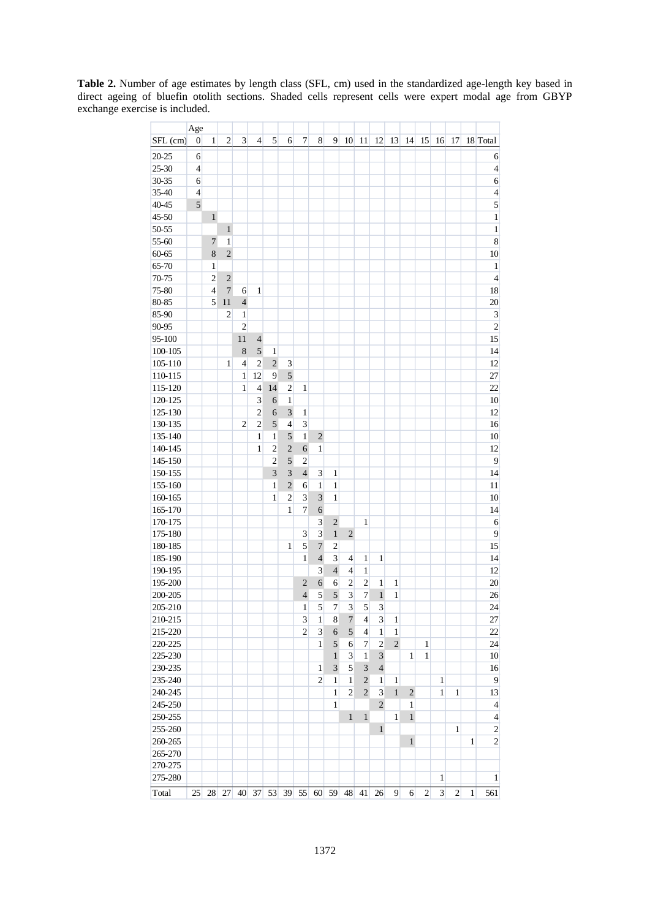**Table 2.** Number of age estimates by length class (SFL, cm) used in the standardized age-length key based in direct ageing of bluefin otolith sections. Shaded cells represent cells were expert modal age from GBYP exchange exercise is included.

|             | Age              |                |                |                     |                |                |                |                |                   |                |                |                  |                |                |                |              |                |                |   |                          |
|-------------|------------------|----------------|----------------|---------------------|----------------|----------------|----------------|----------------|-------------------|----------------|----------------|------------------|----------------|----------------|----------------|--------------|----------------|----------------|---|--------------------------|
| SFL (cm)    | $\boldsymbol{0}$ | 1              | 2              | $\mathfrak{Z}$      | 4              | 5              | 6              | 7              | 8                 | 9              | 10             | 11               | 12             | 13             | 14             | 15           | 16             | 17             |   | 18 Total                 |
| $20 - 25$   | 6                |                |                |                     |                |                |                |                |                   |                |                |                  |                |                |                |              |                |                |   | 6                        |
| $25 - 30$   | $\overline{4}$   |                |                |                     |                |                |                |                |                   |                |                |                  |                |                |                |              |                |                |   | $\overline{4}$           |
| 30-35       | 6                |                |                |                     |                |                |                |                |                   |                |                |                  |                |                |                |              |                |                |   | 6                        |
| $35 - 40$   | $\overline{4}$   |                |                |                     |                |                |                |                |                   |                |                |                  |                |                |                |              |                |                |   | $\overline{\mathcal{L}}$ |
| $40 - 45$   | 5                |                |                |                     |                |                |                |                |                   |                |                |                  |                |                |                |              |                |                |   | 5                        |
| $45 - 50$   |                  | $\mathbf{1}$   |                |                     |                |                |                |                |                   |                |                |                  |                |                |                |              |                |                |   | $\,1$                    |
| 50-55       |                  |                | $\mathbf{1}$   |                     |                |                |                |                |                   |                |                |                  |                |                |                |              |                |                |   | $\mathbf{1}$             |
| 55-60       |                  | $\tau$         | 1              |                     |                |                |                |                |                   |                |                |                  |                |                |                |              |                |                |   | 8                        |
| 60-65       |                  | 8              | $\overline{2}$ |                     |                |                |                |                |                   |                |                |                  |                |                |                |              |                |                |   | 10                       |
| 65-70       |                  | 1              |                |                     |                |                |                |                |                   |                |                |                  |                |                |                |              |                |                |   | $\mathbf{1}$             |
| 70-75       |                  | $\overline{c}$ | $\overline{2}$ |                     |                |                |                |                |                   |                |                |                  |                |                |                |              |                |                |   | $\overline{4}$           |
| 75-80       |                  | $\overline{4}$ | 7              | 6                   | $\mathbf{1}$   |                |                |                |                   |                |                |                  |                |                |                |              |                |                |   | 18                       |
| 80-85       |                  | 5              | 11             | $\overline{4}$      |                |                |                |                |                   |                |                |                  |                |                |                |              |                |                |   | 20                       |
| $85 - 90$   |                  |                | $\overline{c}$ |                     |                |                |                |                |                   |                |                |                  |                |                |                |              |                |                |   | $\mathfrak{Z}$           |
|             |                  |                |                | 1<br>$\overline{2}$ |                |                |                |                |                   |                |                |                  |                |                |                |              |                |                |   | $\overline{c}$           |
| 90-95       |                  |                |                |                     |                |                |                |                |                   |                |                |                  |                |                |                |              |                |                |   | 15                       |
| $95 - 100$  |                  |                |                | 11                  | $\overline{4}$ |                |                |                |                   |                |                |                  |                |                |                |              |                |                |   |                          |
| 100-105     |                  |                |                | $\,$ 8 $\,$         | 5              | 1              |                |                |                   |                |                |                  |                |                |                |              |                |                |   | 14                       |
| $105 - 110$ |                  |                | 1              | $\overline{4}$      | $\overline{2}$ | $\sqrt{2}$     | 3              |                |                   |                |                |                  |                |                |                |              |                |                |   | 12                       |
| 110-115     |                  |                |                | $\mathbf{1}$        | 12             | 9              | $\sqrt{5}$     |                |                   |                |                |                  |                |                |                |              |                |                |   | 27                       |
| 115-120     |                  |                |                | 1                   | $\overline{4}$ | 14             | 2              | 1              |                   |                |                |                  |                |                |                |              |                |                |   | 22                       |
| 120-125     |                  |                |                |                     | 3              | 6              | $\mathbf{1}$   |                |                   |                |                |                  |                |                |                |              |                |                |   | 10                       |
| 125-130     |                  |                |                |                     | $\overline{c}$ | 6              | 3              | 1              |                   |                |                |                  |                |                |                |              |                |                |   | 12                       |
| 130-135     |                  |                |                | $\overline{2}$      | $\overline{c}$ | 5              | 4              | 3              |                   |                |                |                  |                |                |                |              |                |                |   | 16                       |
| 135-140     |                  |                |                |                     | $\mathbf{1}$   | $\mathbf{1}$   | 5              | $\mathbf{1}$   | $\overline{2}$    |                |                |                  |                |                |                |              |                |                |   | 10                       |
| 140-145     |                  |                |                |                     | 1              | $\overline{c}$ | $\overline{c}$ | 6              | $\mathbf{1}$      |                |                |                  |                |                |                |              |                |                |   | 12                       |
| 145-150     |                  |                |                |                     |                | $\overline{c}$ | 5              | 2              |                   |                |                |                  |                |                |                |              |                |                |   | 9                        |
| 150-155     |                  |                |                |                     |                | 3              | 3              | $\overline{4}$ | 3                 | 1              |                |                  |                |                |                |              |                |                |   | 14                       |
| 155-160     |                  |                |                |                     |                | $\mathbf{1}$   | $\overline{c}$ | 6              | $\mathbf{1}$      | 1              |                |                  |                |                |                |              |                |                |   | 11                       |
| 160-165     |                  |                |                |                     |                | 1              | 2              | 3              | 3                 | 1              |                |                  |                |                |                |              |                |                |   | 10                       |
| 165-170     |                  |                |                |                     |                |                | 1              | $\overline{7}$ | 6                 |                |                |                  |                |                |                |              |                |                |   | 14                       |
| 170-175     |                  |                |                |                     |                |                |                |                | 3                 | $\sqrt{2}$     |                | $\mathbf{1}$     |                |                |                |              |                |                |   | 6                        |
| 175-180     |                  |                |                |                     |                |                |                | $\mathfrak{Z}$ | 3                 | $\mathbf{1}$   | $\overline{2}$ |                  |                |                |                |              |                |                |   | 9                        |
| 180-185     |                  |                |                |                     |                |                | 1              | 5              | $\overline{7}$    | $\overline{c}$ |                |                  |                |                |                |              |                |                |   | 15                       |
| 185-190     |                  |                |                |                     |                |                |                | $\mathbf{1}$   | $\overline{4}$    | 3              | 4              | $\mathbf{1}$     | $\mathbf{1}$   |                |                |              |                |                |   | 14                       |
| 190-195     |                  |                |                |                     |                |                |                |                | 3                 | $\overline{4}$ | 4              | $\mathbf{1}$     |                |                |                |              |                |                |   | 12                       |
| 195-200     |                  |                |                |                     |                |                |                | $\sqrt{2}$     | 6                 | 6              | 2              | $\overline{c}$   | 1              | 1              |                |              |                |                |   | 20                       |
| 200-205     |                  |                |                |                     |                |                |                | $\overline{4}$ | 5                 | $\sqrt{5}$     | 3              | $\boldsymbol{7}$ | $\mathbf{1}$   | 1              |                |              |                |                |   | 26                       |
| 205-210     |                  |                |                |                     |                |                |                | 1              | 5                 | $\overline{7}$ | 3              | 5                | 3              |                |                |              |                |                |   | 24                       |
| 210-215     |                  |                |                |                     |                |                |                | 3              | 1                 | 8              | $\overline{7}$ | $\overline{4}$   | $\overline{3}$ | 1              |                |              |                |                |   | 27                       |
| 215-220     |                  |                |                |                     |                |                |                | $\overline{2}$ | $\mathfrak{Z}$    | 6              | $\sqrt{5}$     | $\overline{4}$   | $\mathbf{1}$   | 1              |                |              |                |                |   | $22\,$                   |
| 220-225     |                  |                |                |                     |                |                |                |                | $\mathbf{1}$      | 5              | 6              | $\tau$           | $\overline{2}$ | $\overline{2}$ |                | $\mathbf{1}$ |                |                |   | $24\,$                   |
| 225-230     |                  |                |                |                     |                |                |                |                |                   | $\mathbf{1}$   | 3              | $\mathbf{1}$     | 3              |                | 1              | 1            |                |                |   | 10                       |
| 230-235     |                  |                |                |                     |                |                |                |                | $\mathbf{1}$      | 3              | 5              | $\mathfrak{Z}$   | $\overline{4}$ |                |                |              |                |                |   | 16                       |
| 235-240     |                  |                |                |                     |                |                |                |                | $\overline{2}$    | 1              | $\mathbf{1}$   | $\sqrt{2}$       | 1              | $\mathbf{1}$   |                |              | $\mathbf{1}$   |                |   | 9                        |
| 240-245     |                  |                |                |                     |                |                |                |                |                   | 1              | $\overline{2}$ | $\overline{2}$   | 3              | $\mathbf{1}$   | $\overline{2}$ |              | 1              | 1              |   | 13                       |
| 245-250     |                  |                |                |                     |                |                |                |                |                   | 1              |                |                  | $\overline{2}$ |                | 1              |              |                |                |   | $\overline{4}$           |
| 250-255     |                  |                |                |                     |                |                |                |                |                   |                | $\mathbf{1}$   | $\mathbf{1}$     |                | $\mathbf{1}$   | $\mathbf{1}$   |              |                |                |   | $\overline{4}$           |
| 255-260     |                  |                |                |                     |                |                |                |                |                   |                |                |                  | $\mathbf{1}$   |                |                |              |                | 1              |   | $\sqrt{2}$               |
| 260-265     |                  |                |                |                     |                |                |                |                |                   |                |                |                  |                |                | $\mathbf{1}$   |              |                |                | 1 | $\sqrt{2}$               |
| 265-270     |                  |                |                |                     |                |                |                |                |                   |                |                |                  |                |                |                |              |                |                |   |                          |
| 270-275     |                  |                |                |                     |                |                |                |                |                   |                |                |                  |                |                |                |              |                |                |   |                          |
| 275-280     |                  |                |                |                     |                |                |                |                |                   |                |                |                  |                |                |                |              | $\mathbf{1}$   |                |   | $\mathbf{1}$             |
| Total       | 25               | 28             | 27             |                     | 40 37          |                |                |                | 53 39 55 60 59 48 |                |                | 41               | 26             | 9              | 6              | 2            | $\mathfrak{Z}$ | $\overline{2}$ | 1 | 561                      |
|             |                  |                |                |                     |                |                |                |                |                   |                |                |                  |                |                |                |              |                |                |   |                          |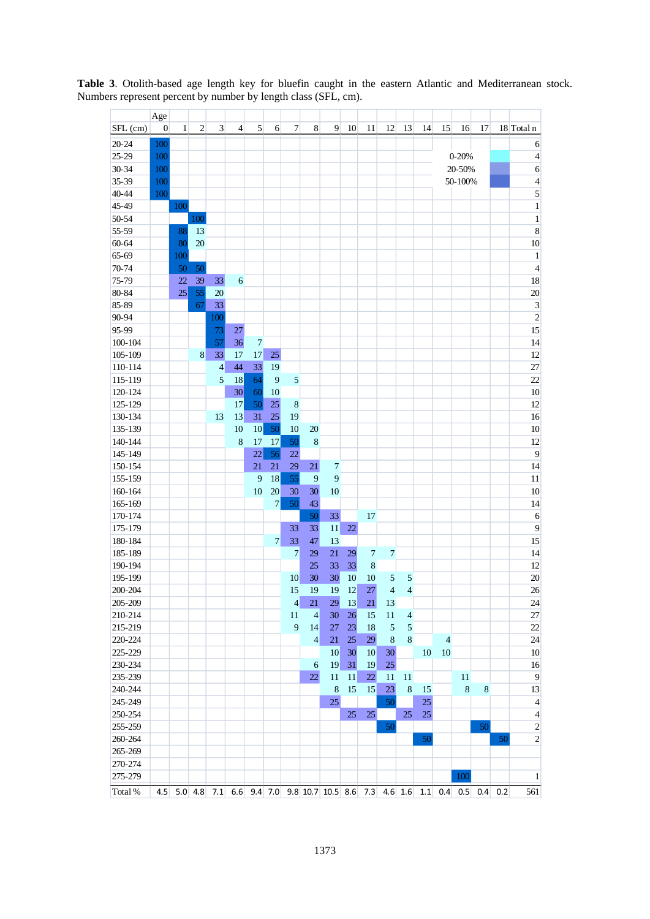|            | Age          |     |     |                |                |                |                |                          |                |                                                                       |    |                 |                |                |    |                |           |                |             |                         |
|------------|--------------|-----|-----|----------------|----------------|----------------|----------------|--------------------------|----------------|-----------------------------------------------------------------------|----|-----------------|----------------|----------------|----|----------------|-----------|----------------|-------------|-------------------------|
| SFL (cm)   | $\mathbf{0}$ | 1   | 2   | 3              | $\overline{4}$ | $\mathfrak{S}$ | 6              | 7                        | 8              | 9                                                                     | 10 | 11              | 12             | 13             | 14 | 15             | 16        | 17             |             | 18 Total n              |
| $20 - 24$  | 100          |     |     |                |                |                |                |                          |                |                                                                       |    |                 |                |                |    |                |           |                |             | 6                       |
| $25 - 29$  | 100          |     |     |                |                |                |                |                          |                |                                                                       |    |                 |                |                |    |                | $0 - 20%$ |                |             | $\overline{4}$          |
| 30-34      | 100          |     |     |                |                |                |                |                          |                |                                                                       |    |                 |                |                |    | 20-50%         |           | 6              |             |                         |
| 35-39      | 100          |     |     |                |                |                |                |                          |                |                                                                       |    |                 |                |                |    | 50-100%        |           | $\overline{4}$ |             |                         |
| 40-44      | 100          |     |     |                |                |                |                |                          |                |                                                                       |    |                 |                |                |    |                |           |                |             |                         |
| 45-49      |              | 100 |     |                |                |                |                |                          |                |                                                                       |    |                 |                |                |    |                |           |                |             | $\,1\,$                 |
| 50-54      |              |     | 100 |                |                |                |                |                          |                |                                                                       |    |                 |                |                |    |                |           |                |             | $\,1\,$                 |
| 55-59      |              | 88  | 13  |                |                |                |                |                          |                |                                                                       |    |                 |                |                |    |                |           |                |             | $\overline{8}$          |
| $60 - 64$  |              | 80  | 20  |                |                |                |                |                          |                |                                                                       |    |                 |                |                |    |                |           |                |             | 10                      |
| 65-69      |              | 100 |     |                |                |                |                |                          |                |                                                                       |    |                 |                |                |    |                |           |                |             | $\,1\,$                 |
| 70-74      |              | 50  | 50  |                |                |                |                |                          |                |                                                                       |    |                 |                |                |    |                |           |                |             | $\overline{4}$          |
| 75-79      |              | 22  | 39  | 33             | 6              |                |                |                          |                |                                                                       |    |                 |                |                |    |                |           |                |             | 18                      |
| 80-84      |              | 25  | 55  | 20             |                |                |                |                          |                |                                                                       |    |                 |                |                |    |                |           |                |             | 20                      |
| 85-89      |              |     | 67  | 33             |                |                |                |                          |                |                                                                       |    |                 |                |                |    |                |           |                |             | $\overline{\mathbf{3}}$ |
| 90-94      |              |     |     | 100            |                |                |                |                          |                |                                                                       |    |                 |                |                |    |                |           |                |             | $\overline{2}$          |
| 95-99      |              |     |     | 73             | 27             |                |                |                          |                |                                                                       |    |                 |                |                |    |                |           |                |             | 15                      |
| 100-104    |              |     |     | 57             | 36             | $\overline{7}$ |                |                          |                |                                                                       |    |                 |                |                |    |                |           |                |             | 14                      |
| 105-109    |              |     | 8   | 33             | 17             | 17             | 25             |                          |                |                                                                       |    |                 |                |                |    |                |           |                |             | 12                      |
| 110-114    |              |     |     | $\overline{4}$ | 44             | 33             | 19             |                          |                |                                                                       |    |                 |                |                |    |                |           |                |             | $\overline{27}$         |
| 115-119    |              |     |     | 5              | 18             | 64             | 9              | 5                        |                |                                                                       |    |                 |                |                |    |                |           |                |             | 22                      |
| 120-124    |              |     |     |                | 30             | 60             | 10             |                          |                |                                                                       |    |                 |                |                |    |                |           |                |             | 10                      |
| 125-129    |              |     |     |                | 17             | 50             | 25             | 8                        |                |                                                                       |    |                 |                |                |    |                |           |                |             | 12                      |
| 130-134    |              |     |     | 13             | 13             | 31             | 25             | 19                       |                |                                                                       |    |                 |                |                |    |                |           |                |             | 16                      |
| 135-139    |              |     |     |                | 10             | 10             | 50             | 10                       | 20             |                                                                       |    |                 |                |                |    |                |           |                |             | 10                      |
| 140-144    |              |     |     |                | 8              | 17             | 17             | 50                       | $\,8\,$        |                                                                       |    |                 |                |                |    |                |           |                |             | 12                      |
| 145-149    |              |     |     |                |                | 22             | 56             | 22                       |                |                                                                       |    |                 |                |                |    |                |           |                |             | 9                       |
| 150-154    |              |     |     |                |                | 21             | 21             | 29                       | 21             | $\overline{7}$                                                        |    |                 |                |                |    |                |           |                |             | 14                      |
| 155-159    |              |     |     |                |                | 9              | 18             | 55                       | 9              | 9                                                                     |    |                 |                |                |    |                |           |                |             | 11                      |
| 160-164    |              |     |     |                |                | 10             | 20             | 30                       | 30             | 10                                                                    |    |                 |                |                |    |                |           |                |             | 10                      |
| 165-169    |              |     |     |                |                |                | $\overline{7}$ | 50                       | 43             |                                                                       |    |                 |                |                |    |                |           |                |             | 14                      |
| 170-174    |              |     |     |                |                |                |                |                          | 50             | 33                                                                    |    | 17              |                |                |    |                |           |                |             | 6                       |
| 175-179    |              |     |     |                |                |                |                | 33                       | 33             | 11                                                                    | 22 |                 |                |                |    |                |           |                |             | 9                       |
| 180-184    |              |     |     |                |                |                | $\tau$         | 33                       | 47             | 13                                                                    |    |                 |                |                |    |                |           |                |             | 15                      |
| 185-189    |              |     |     |                |                |                |                | $\tau$                   | 29             | 21                                                                    | 29 | $\overline{7}$  | 7              |                |    |                |           |                |             | 14                      |
| 190-194    |              |     |     |                |                |                |                |                          | 25             | 33                                                                    | 33 | 8               |                |                |    |                |           |                |             | 12                      |
| 195-199    |              |     |     |                |                |                |                | 10                       | 30             | 30                                                                    | 10 | 10              | 5              | 5              |    |                |           |                |             | 20                      |
| 200-204    |              |     |     |                |                |                |                | 15                       | 19             | 19                                                                    | 12 | 27              | $\overline{4}$ | $\overline{4}$ |    |                |           |                |             | 26                      |
| 205-209    |              |     |     |                |                |                |                | $\overline{\mathcal{L}}$ | 21             | 29                                                                    | 13 | 21              | 13             |                |    |                |           |                |             | $24\,$                  |
| 210-214    |              |     |     |                |                |                |                | 11                       | $\overline{4}$ | 30                                                                    | 26 | 15              | $11\,$         | $\overline{4}$ |    |                |           |                |             | 27                      |
| 215-219    |              |     |     |                |                |                |                | 9                        | 14             | 27                                                                    | 23 | 18              | $\mathfrak{S}$ | $\overline{5}$ |    |                |           |                |             | $22\,$                  |
| 220-224    |              |     |     |                |                |                |                |                          | $\overline{4}$ | 21                                                                    | 25 | 29              | $\,8\,$        | $\bf 8$        |    | $\overline{4}$ |           |                |             | 24                      |
| 225-229    |              |     |     |                |                |                |                |                          |                | 10 <sup>1</sup>                                                       | 30 | 10 <sup>°</sup> | 30             |                | 10 | $10\,$         |           |                |             | 10                      |
| 230-234    |              |     |     |                |                |                |                |                          | 6              | 19                                                                    | 31 | 19              | 25             |                |    |                |           |                |             | 16                      |
| 235-239    |              |     |     |                |                |                |                |                          | 22             | 11                                                                    | 11 | $22\,$          | 11             | 11             |    |                | 11        |                |             | 9                       |
| 240-244    |              |     |     |                |                |                |                |                          |                | $\,8\,$                                                               | 15 | 15              | 23             | $\,8\,$        | 15 |                | $\,8\,$   | 8              |             | 13                      |
| 245-249    |              |     |     |                |                |                |                |                          |                | 25                                                                    |    |                 | 50             |                | 25 |                |           |                |             | $\overline{4}$          |
| 250-254    |              |     |     |                |                |                |                |                          |                |                                                                       | 25 | 25              |                | 25             | 25 |                |           |                |             | $\overline{4}$          |
| 255-259    |              |     |     |                |                |                |                |                          |                |                                                                       |    |                 | 50             |                |    |                |           | 50             |             | $\sqrt{2}$              |
| 260-264    |              |     |     |                |                |                |                |                          |                |                                                                       |    |                 |                |                | 50 |                |           |                | 50          | $\sqrt{2}$              |
| 265-269    |              |     |     |                |                |                |                |                          |                |                                                                       |    |                 |                |                |    |                |           |                |             |                         |
| 270-274    |              |     |     |                |                |                |                |                          |                |                                                                       |    |                 |                |                |    |                |           |                |             |                         |
| 275-279    |              |     |     |                |                |                |                |                          |                |                                                                       |    |                 |                |                |    |                | 100       |                |             | $\mathbf{1}$            |
| Total $\%$ |              |     |     |                |                |                |                |                          |                | 4.5 5.0 4.8 7.1 6.6 9.4 7.0 9.8 10.7 10.5 8.6 7.3 4.6 1.6 1.1 0.4 0.5 |    |                 |                |                |    |                |           |                | $0.4 \ 0.2$ | 561                     |

**Table 3**. Otolith-based age length key for bluefin caught in the eastern Atlantic and Mediterranean stock. Numbers represent percent by number by length class (SFL, cm).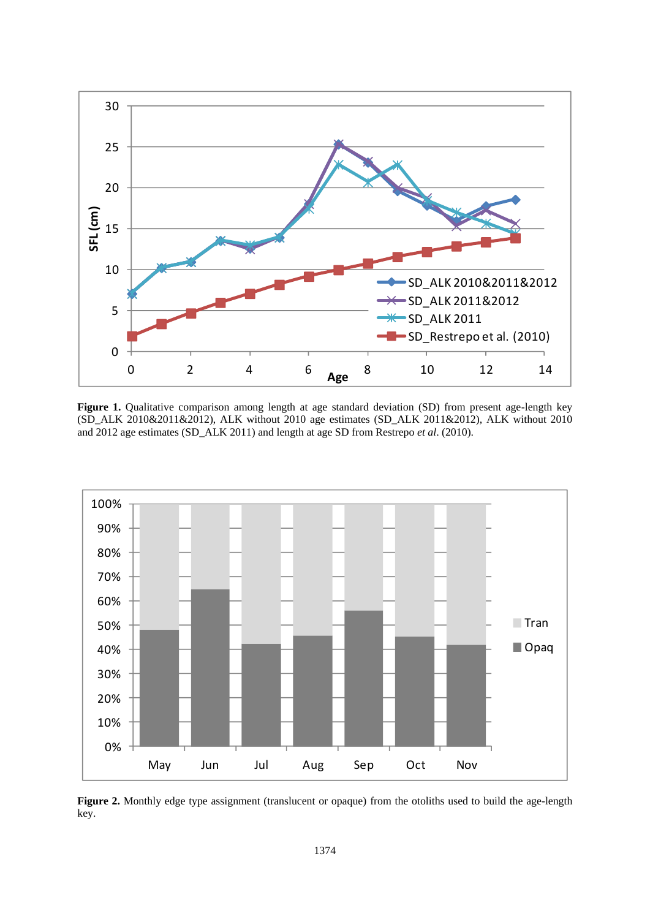

Figure 1. Qualitative comparison among length at age standard deviation (SD) from present age-length key (SD\_ALK 2010&2011&2012), ALK without 2010 age estimates (SD\_ALK 2011&2012), ALK without 2010 and 2012 age estimates (SD\_ALK 2011) and length at age SD from Restrepo *et al*. (2010).



Figure 2. Monthly edge type assignment (translucent or opaque) from the otoliths used to build the age-length key.